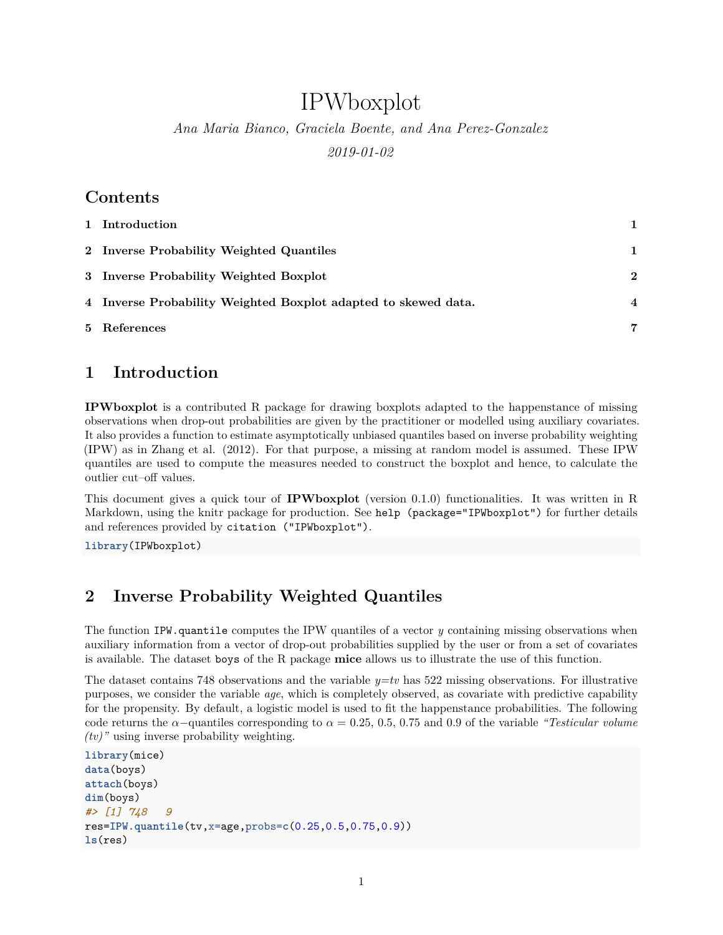# IPWboxplot

*Ana Maria Bianco, Graciela Boente, and Ana Perez-Gonzalez 2019-01-02*

#### **Contents**

| 1 Introduction                                                 |                  |
|----------------------------------------------------------------|------------------|
| 2 Inverse Probability Weighted Quantiles                       |                  |
| 3 Inverse Probability Weighted Boxplot                         | 2                |
| 4 Inverse Probability Weighted Boxplot adapted to skewed data. | $\boldsymbol{4}$ |
| 5 References                                                   | 7                |

### <span id="page-0-0"></span>**1 Introduction**

**IPWboxplot** is a contributed R package for drawing boxplots adapted to the happenstance of missing observations when drop-out probabilities are given by the practitioner or modelled using auxiliary covariates. It also provides a function to estimate asymptotically unbiased quantiles based on inverse probability weighting (IPW) as in Zhang et al. (2012). For that purpose, a missing at random model is assumed. These IPW quantiles are used to compute the measures needed to construct the boxplot and hence, to calculate the outlier cut–off values.

This document gives a quick tour of **IPWboxplot** (version 0.1.0) functionalities. It was written in R Markdown, using the [knitr](https://cran.r-project.org/package=knitr) package for production. See help (package="IPWboxplot") for further details and references provided by citation ("IPWboxplot").

**library**(IPWboxplot)

## <span id="page-0-1"></span>**2 Inverse Probability Weighted Quantiles**

The function IPW.quantile computes the IPW quantiles of a vector *y* containing missing observations when auxiliary information from a vector of drop-out probabilities supplied by the user or from a set of covariates is available. The dataset boys of the R package **mice** allows us to illustrate the use of this function.

The dataset contains 748 observations and the variable *y=tv* has 522 missing observations. For illustrative purposes, we consider the variable *age*, which is completely observed, as covariate with predictive capability for the propensity. By default, a logistic model is used to fit the happenstance probabilities. The following code returns the  $\alpha$ -quantiles corresponding to  $\alpha = 0.25, 0.5, 0.75,$  and 0.9 of the variable *"Testicular volume*" *(tv)"* using inverse probability weighting.

```
library(mice)
data(boys)
attach(boys)
dim(boys)
#> [1] 748 9
res=IPW.quantile(tv,x=age,probs=c(0.25,0.5,0.75,0.9))
ls(res)
```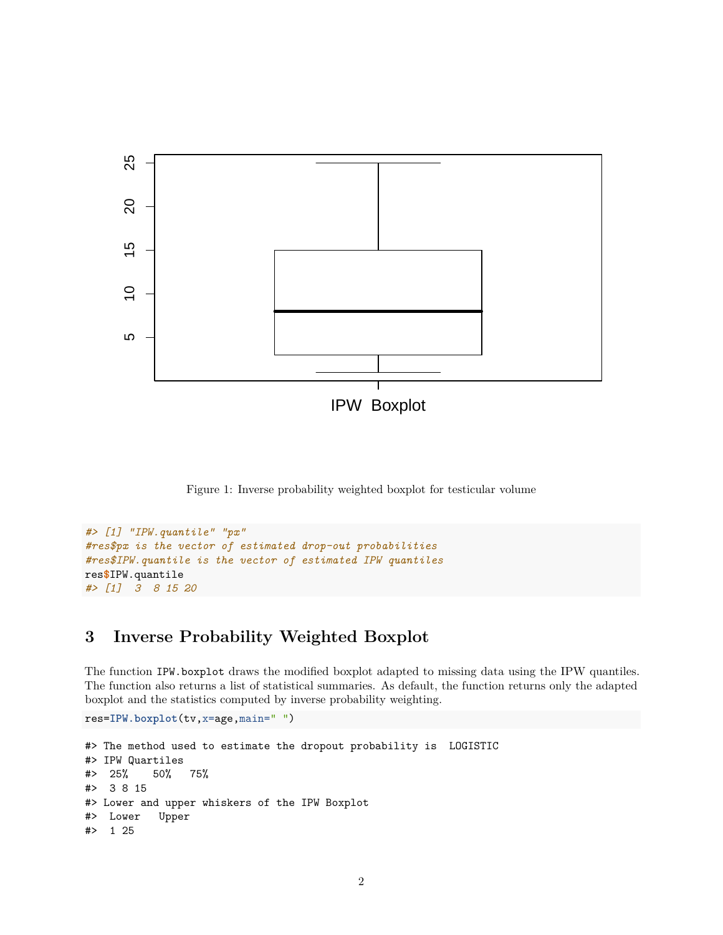

Figure 1: Inverse probability weighted boxplot for testicular volume

```
#> [1] "IPW.quantile" "px"
#res$px is the vector of estimated drop-out probabilities
#res$IPW.quantile is the vector of estimated IPW quantiles
res$IPW.quantile
#> [1] 3 8 15 20
```
#### <span id="page-1-0"></span>**3 Inverse Probability Weighted Boxplot**

The function IPW.boxplot draws the modified boxplot adapted to missing data using the IPW quantiles. The function also returns a list of statistical summaries. As default, the function returns only the adapted boxplot and the statistics computed by inverse probability weighting.

```
res=IPW.boxplot(tv,x=age,main=" ")
```

```
#> The method used to estimate the dropout probability is LOGISTIC
#> IPW Quartiles
#> 25% 50% 75%
#> 3 8 15
#> Lower and upper whiskers of the IPW Boxplot
#> Lower Upper
#> 1 25
```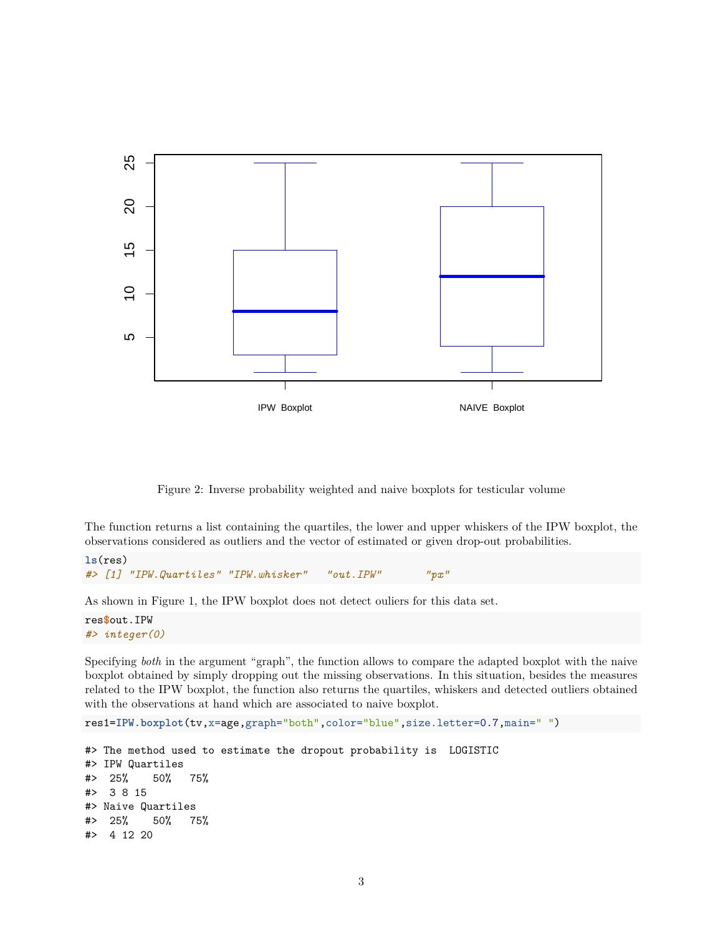

Figure 2: Inverse probability weighted and naive boxplots for testicular volume

The function returns a list containing the quartiles, the lower and upper whiskers of the IPW boxplot, the observations considered as outliers and the vector of estimated or given drop-out probabilities.

```
ls(res)
#> [1] "IPW.Quartiles" "IPW.whisker" "out.IPW" "px"
```
As shown in Figure 1, the IPW boxplot does not detect ouliers for this data set.

res**\$**out.IPW *#> integer(0)*

Specifying *both* in the argument "graph", the function allows to compare the adapted boxplot with the naive boxplot obtained by simply dropping out the missing observations. In this situation, besides the measures related to the IPW boxplot, the function also returns the quartiles, whiskers and detected outliers obtained with the observations at hand which are associated to naive boxplot.

```
res1=IPW.boxplot(tv,x=age,graph="both",color="blue",size.letter=0.7,main=" ")
```

```
#> The method used to estimate the dropout probability is LOGISTIC
#> IPW Quartiles
#> 25% 50% 75%
#> 3 8 15
#> Naive Quartiles
#> 25% 50% 75%
#> 4 12 20
```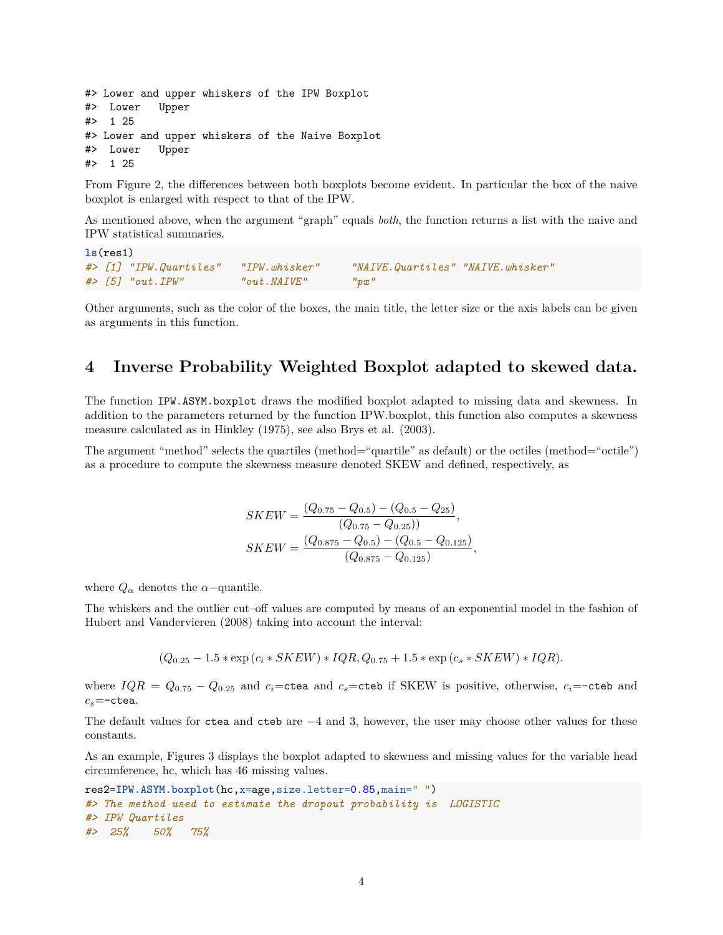```
#> Lower and upper whiskers of the IPW Boxplot
#> Lower Upper
#> 1 25
#> Lower and upper whiskers of the Naive Boxplot
#> Lower Upper
#> 1 25
```
From Figure 2, the differences between both boxplots become evident. In particular the box of the naive boxplot is enlarged with respect to that of the IPW.

As mentioned above, when the argument "graph" equals *both*, the function returns a list with the naive and IPW statistical summaries.

```
ls(res1)
#> [1] "IPW.Quartiles" "IPW.whisker" "NAIVE.Quartiles" "NAIVE.whisker"
#> [5] "out.IPW" "out.NAIVE" "px"
```
Other arguments, such as the color of the boxes, the main title, the letter size or the axis labels can be given as arguments in this function.

#### <span id="page-3-0"></span>**4 Inverse Probability Weighted Boxplot adapted to skewed data.**

The function IPW.ASYM.boxplot draws the modified boxplot adapted to missing data and skewness. In addition to the parameters returned by the function IPW.boxplot, this function also computes a skewness measure calculated as in Hinkley (1975), see also Brys et al. (2003).

The argument "method" selects the quartiles (method="quartile" as default) or the octiles (method="octile") as a procedure to compute the skewness measure denoted SKEW and defined, respectively, as

$$
SKEW = \frac{(Q_{0.75} - Q_{0.5}) - (Q_{0.5} - Q_{25})}{(Q_{0.75} - Q_{0.25})},
$$
  
\n
$$
SKEW = \frac{(Q_{0.875} - Q_{0.5}) - (Q_{0.5} - Q_{0.125})}{(Q_{0.875} - Q_{0.125})},
$$

where  $Q_{\alpha}$  denotes the  $\alpha$ -quantile.

The whiskers and the outlier cut–off values are computed by means of an exponential model in the fashion of Hubert and Vandervieren (2008) taking into account the interval:

$$
(Q_{0.25} - 1.5 * \exp(c_i * SKEW) * IQR, Q_{0.75} + 1.5 * \exp(c_s * SKEW) * IQR).
$$

where  $IQR = Q_{0.75} - Q_{0.25}$  and  $c_i$ =ctea and  $c_s$ =cteb if SKEW is positive, otherwise,  $c_i$ =-cteb and *cs*=-ctea.

The default values for ctea and cteb are  $-4$  and 3, however, the user may choose other values for these constants.

As an example, Figures 3 displays the boxplot adapted to skewness and missing values for the variable head circumference, hc, which has 46 missing values.

```
res2=IPW.ASYM.boxplot(hc,x=age,size.letter=0.85,main=" ")
#> The method used to estimate the dropout probability is LOGISTIC
#> IPW Quartiles
#> 25% 50% 75%
```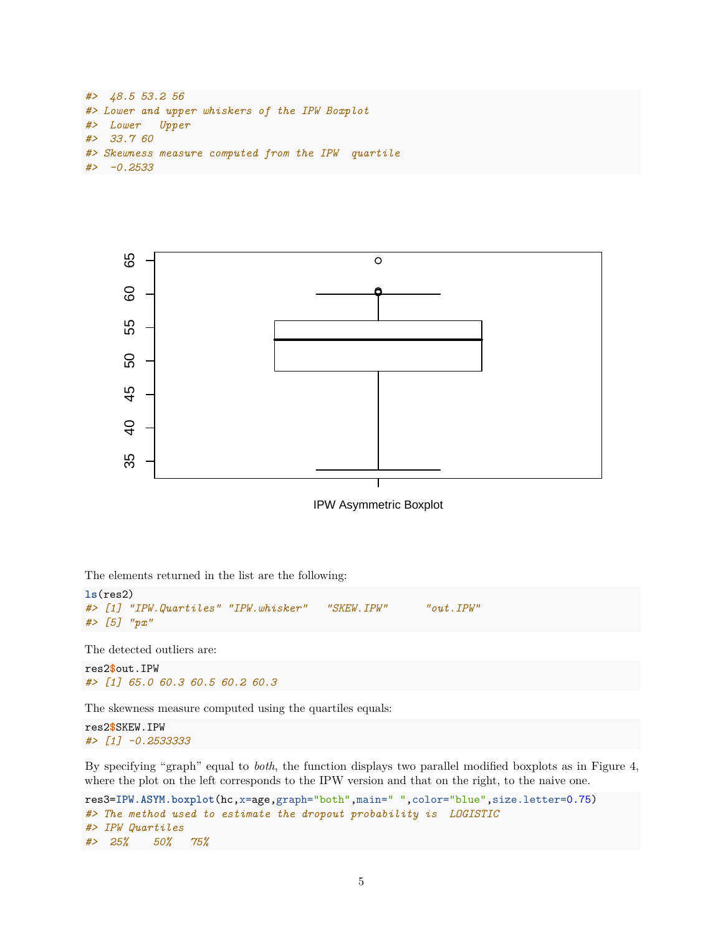```
#> 48.5 53.2 56
#> Lower and upper whiskers of the IPW Boxplot
#> Lower Upper
#> 33.7 60
#> Skewness measure computed from the IPW quartile
#> -0.2533
```


IPW Asymmetric Boxplot

The elements returned in the list are the following:

```
ls(res2)
#> [1] "IPW.Quartiles" "IPW.whisker" "SKEW.IPW" "out.IPW"
#> [5] "px"
```
The detected outliers are:

res2**\$**out.IPW *#> [1] 65.0 60.3 60.5 60.2 60.3*

The skewness measure computed using the quartiles equals:

res2**\$**SKEW.IPW *#> [1] -0.2533333*

By specifying "graph" equal to *both*, the function displays two parallel modified boxplots as in Figure 4, where the plot on the left corresponds to the IPW version and that on the right, to the naive one.

```
res3=IPW.ASYM.boxplot(hc,x=age,graph="both",main=" ",color="blue",size.letter=0.75)
#> The method used to estimate the dropout probability is LOGISTIC
#> IPW Quartiles
#> 25% 50% 75%
```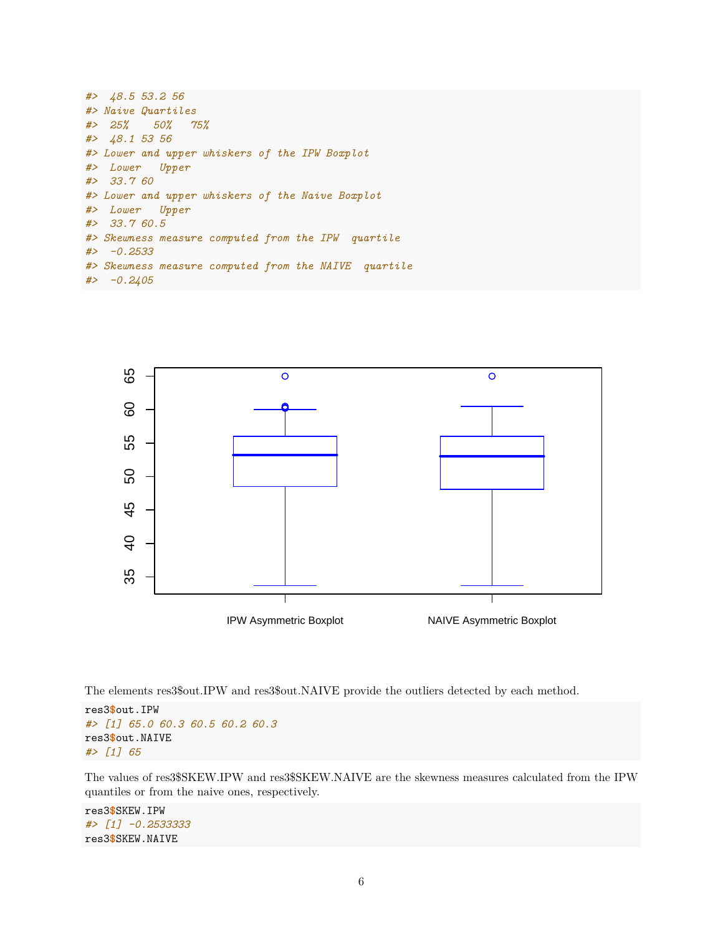| $#$ 48.5 53.2 56                                     |
|------------------------------------------------------|
| #> Naive Quartiles                                   |
| $\#$ 25% 50% 75%                                     |
| #> 48.1 53 56                                        |
| #> Lower and upper whiskers of the IPW Boxplot       |
| #> Lower Upper                                       |
| # > 33.760                                           |
| #> Lower and upper whiskers of the Naive Boxplot     |
| #> Lower Upper                                       |
| # > 33.760.5                                         |
| #> Skewness measure computed from the IPW quartile   |
| $# > -0.2533$                                        |
| #> Skewness measure computed from the NAIVE quartile |
| $# > -0.2405$                                        |



The elements res3\$out.IPW and res3\$out.NAIVE provide the outliers detected by each method.

res3**\$**out.IPW *#> [1] 65.0 60.3 60.5 60.2 60.3* res3**\$**out.NAIVE *#> [1] 65*

The values of res3\$SKEW.IPW and res3\$SKEW.NAIVE are the skewness measures calculated from the IPW quantiles or from the naive ones, respectively.

res3**\$**SKEW.IPW *#> [1] -0.2533333* res3**\$**SKEW.NAIVE